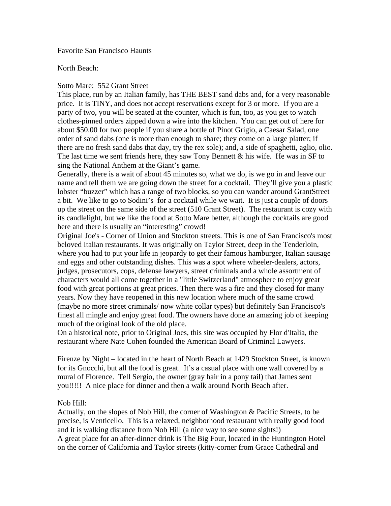Favorite San Francisco Haunts

North Beach:

## Sotto Mare: 552 Grant Street

This place, run by an Italian family, has THE BEST sand dabs and, for a very reasonable price. It is TINY, and does not accept reservations except for 3 or more. If you are a party of two, you will be seated at the counter, which is fun, too, as you get to watch clothes-pinned orders zipped down a wire into the kitchen. You can get out of here for about \$50.00 for two people if you share a bottle of Pinot Grigio, a Caesar Salad, one order of sand dabs (one is more than enough to share; they come on a large platter; if there are no fresh sand dabs that day, try the rex sole); and, a side of spaghetti, aglio, olio. The last time we sent friends here, they saw Tony Bennett  $\&$  his wife. He was in SF to sing the National Anthem at the Giant's game.

Generally, there is a wait of about 45 minutes so, what we do, is we go in and leave our name and tell them we are going down the street for a cocktail. They'll give you a plastic lobster "buzzer" which has a range of two blocks, so you can wander around GrantStreet a bit. We like to go to Sodini's for a cocktail while we wait. It is just a couple of doors up the street on the same side of the street (510 Grant Street). The restaurant is cozy with its candlelight, but we like the food at Sotto Mare better, although the cocktails are good here and there is usually an "interesting" crowd!

Original Joe's - Corner of Union and Stockton streets. This is one of San Francisco's most beloved Italian restaurants. It was originally on Taylor Street, deep in the Tenderloin, where you had to put your life in jeopardy to get their famous hamburger, Italian sausage and eggs and other outstanding dishes. This was a spot where wheeler-dealers, actors, judges, prosecutors, cops, defense lawyers, street criminals and a whole assortment of characters would all come together in a "little Switzerland" atmosphere to enjoy great food with great portions at great prices. Then there was a fire and they closed for many years. Now they have reopened in this new location where much of the same crowd (maybe no more street criminals/ now white collar types) but definitely San Francisco's finest all mingle and enjoy great food. The owners have done an amazing job of keeping much of the original look of the old place.

On a historical note, prior to Original Joes, this site was occupied by Flor d'Italia, the restaurant where Nate Cohen founded the American Board of Criminal Lawyers.

Firenze by Night – located in the heart of North Beach at 1429 Stockton Street, is known for its Gnocchi, but all the food is great. It's a casual place with one wall covered by a mural of Florence. Tell Sergio, the owner (gray hair in a pony tail) that James sent you!!!!! A nice place for dinner and then a walk around North Beach after.

# Nob Hill:

Actually, on the slopes of Nob Hill, the corner of Washington & Pacific Streets, to be precise, is Venticello. This is a relaxed, neighborhood restaurant with really good food and it is walking distance from Nob Hill (a nice way to see some sights!) A great place for an after-dinner drink is The Big Four, located in the Huntington Hotel on the corner of California and Taylor streets (kitty-corner from Grace Cathedral and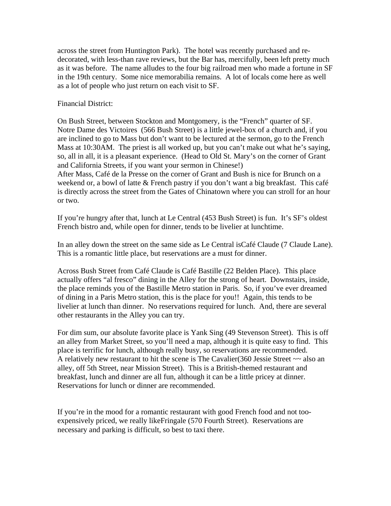across the street from Huntington Park). The hotel was recently purchased and redecorated, with less-than rave reviews, but the Bar has, mercifully, been left pretty much as it was before. The name alludes to the four big railroad men who made a fortune in SF in the 19th century. Some nice memorabilia remains. A lot of locals come here as well as a lot of people who just return on each visit to SF.

## Financial District:

On Bush Street, between Stockton and Montgomery, is the "French" quarter of SF. Notre Dame des Victoires (566 Bush Street) is a little jewel-box of a church and, if you are inclined to go to Mass but don't want to be lectured at the sermon, go to the French Mass at 10:30AM. The priest is all worked up, but you can't make out what he's saying, so, all in all, it is a pleasant experience. (Head to Old St. Mary's on the corner of Grant and California Streets, if you want your sermon in Chinese!) After Mass, Café de la Presse on the corner of Grant and Bush is nice for Brunch on a weekend or, a bowl of latte & French pastry if you don't want a big breakfast. This café is directly across the street from the Gates of Chinatown where you can stroll for an hour or two.

If you're hungry after that, lunch at Le Central (453 Bush Street) is fun. It's SF's oldest French bistro and, while open for dinner, tends to be livelier at lunchtime.

In an alley down the street on the same side as Le Central isCafé Claude (7 Claude Lane). This is a romantic little place, but reservations are a must for dinner.

Across Bush Street from Café Claude is Café Bastille (22 Belden Place). This place actually offers "al fresco" dining in the Alley for the strong of heart. Downstairs, inside, the place reminds you of the Bastille Metro station in Paris. So, if you've ever dreamed of dining in a Paris Metro station, this is the place for you!! Again, this tends to be livelier at lunch than dinner. No reservations required for lunch. And, there are several other restaurants in the Alley you can try.

For dim sum, our absolute favorite place is Yank Sing (49 Stevenson Street). This is off an alley from Market Street, so you'll need a map, although it is quite easy to find. This place is terrific for lunch, although really busy, so reservations are recommended. A relatively new restaurant to hit the scene is The Cavalier(360 Jessie Street ~~ also an alley, off 5th Street, near Mission Street). This is a British-themed restaurant and breakfast, lunch and dinner are all fun, although it can be a little pricey at dinner. Reservations for lunch or dinner are recommended.

If you're in the mood for a romantic restaurant with good French food and not tooexpensively priced, we really likeFringale (570 Fourth Street). Reservations are necessary and parking is difficult, so best to taxi there.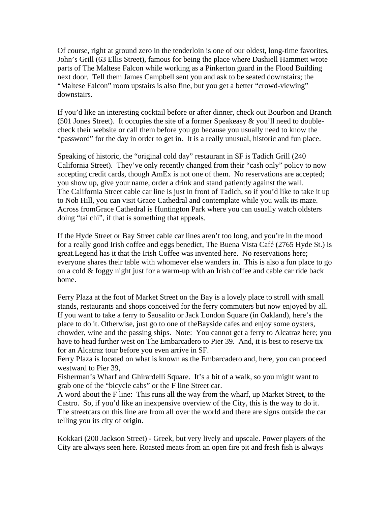Of course, right at ground zero in the tenderloin is one of our oldest, long-time favorites, John's Grill (63 Ellis Street), famous for being the place where Dashiell Hammett wrote parts of The Maltese Falcon while working as a Pinkerton guard in the Flood Building next door. Tell them James Campbell sent you and ask to be seated downstairs; the "Maltese Falcon" room upstairs is also fine, but you get a better "crowd-viewing" downstairs.

If you'd like an interesting cocktail before or after dinner, check out Bourbon and Branch (501 Jones Street). It occupies the site of a former Speakeasy  $\&$  you'll need to doublecheck their website or call them before you go because you usually need to know the "password" for the day in order to get in. It is a really unusual, historic and fun place.

Speaking of historic, the "original cold day" restaurant in SF is Tadich Grill (240 California Street). They've only recently changed from their "cash only" policy to now accepting credit cards, though AmEx is not one of them. No reservations are accepted; you show up, give your name, order a drink and stand patiently against the wall. The California Street cable car line is just in front of Tadich, so if you'd like to take it up to Nob Hill, you can visit Grace Cathedral and contemplate while you walk its maze. Across fromGrace Cathedral is Huntington Park where you can usually watch oldsters doing "tai chi", if that is something that appeals.

If the Hyde Street or Bay Street cable car lines aren't too long, and you're in the mood for a really good Irish coffee and eggs benedict, The Buena Vista Café (2765 Hyde St.) is great.Legend has it that the Irish Coffee was invented here. No reservations here; everyone shares their table with whomever else wanders in. This is also a fun place to go on a cold & foggy night just for a warm-up with an Irish coffee and cable car ride back home.

Ferry Plaza at the foot of Market Street on the Bay is a lovely place to stroll with small stands, restaurants and shops conceived for the ferry commuters but now enjoyed by all. If you want to take a ferry to Sausalito or Jack London Square (in Oakland), here's the place to do it. Otherwise, just go to one of theBayside cafes and enjoy some oysters, chowder, wine and the passing ships. Note: You cannot get a ferry to Alcatraz here; you have to head further west on The Embarcadero to Pier 39. And, it is best to reserve tix for an Alcatraz tour before you even arrive in SF.

Ferry Plaza is located on what is known as the Embarcadero and, here, you can proceed westward to Pier 39,

Fisherman's Wharf and Ghirardelli Square. It's a bit of a walk, so you might want to grab one of the "bicycle cabs" or the F line Street car.

A word about the F line: This runs all the way from the wharf, up Market Street, to the Castro. So, if you'd like an inexpensive overview of the City, this is the way to do it. The streetcars on this line are from all over the world and there are signs outside the car telling you its city of origin.

Kokkari (200 Jackson Street) - Greek, but very lively and upscale. Power players of the City are always seen here. Roasted meats from an open fire pit and fresh fish is always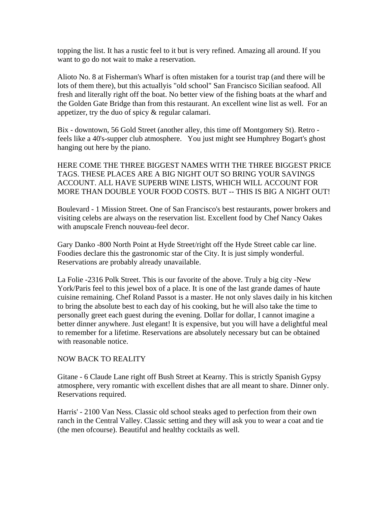topping the list. It has a rustic feel to it but is very refined. Amazing all around. If you want to go do not wait to make a reservation.

Alioto No. 8 at Fisherman's Wharf is often mistaken for a tourist trap (and there will be lots of them there), but this actuallyis "old school" San Francisco Sicilian seafood. All fresh and literally right off the boat. No better view of the fishing boats at the wharf and the Golden Gate Bridge than from this restaurant. An excellent wine list as well. For an appetizer, try the duo of spicy & regular calamari.

Bix - downtown, 56 Gold Street (another alley, this time off Montgomery St). Retro feels like a 40's-supper club atmosphere. You just might see Humphrey Bogart's ghost hanging out here by the piano.

HERE COME THE THREE BIGGEST NAMES WITH THE THREE BIGGEST PRICE TAGS. THESE PLACES ARE A BIG NIGHT OUT SO BRING YOUR SAVINGS ACCOUNT. ALL HAVE SUPERB WINE LISTS, WHICH WILL ACCOUNT FOR MORE THAN DOUBLE YOUR FOOD COSTS. BUT -- THIS IS BIG A NIGHT OUT!

Boulevard - 1 Mission Street. One of San Francisco's best restaurants, power brokers and visiting celebs are always on the reservation list. Excellent food by Chef Nancy Oakes with anupscale French nouveau-feel decor.

Gary Danko -800 North Point at Hyde Street/right off the Hyde Street cable car line. Foodies declare this the gastronomic star of the City. It is just simply wonderful. Reservations are probably already unavailable.

La Folie -2316 Polk Street. This is our favorite of the above. Truly a big city -New York/Paris feel to this jewel box of a place. It is one of the last grande dames of haute cuisine remaining. Chef Roland Passot is a master. He not only slaves daily in his kitchen to bring the absolute best to each day of his cooking, but he will also take the time to personally greet each guest during the evening. Dollar for dollar, I cannot imagine a better dinner anywhere. Just elegant! It is expensive, but you will have a delightful meal to remember for a lifetime. Reservations are absolutely necessary but can be obtained with reasonable notice.

# NOW BACK TO REALITY

Gitane - 6 Claude Lane right off Bush Street at Kearny. This is strictly Spanish Gypsy atmosphere, very romantic with excellent dishes that are all meant to share. Dinner only. Reservations required.

Harris' - 2100 Van Ness. Classic old school steaks aged to perfection from their own ranch in the Central Valley. Classic setting and they will ask you to wear a coat and tie (the men ofcourse). Beautiful and healthy cocktails as well.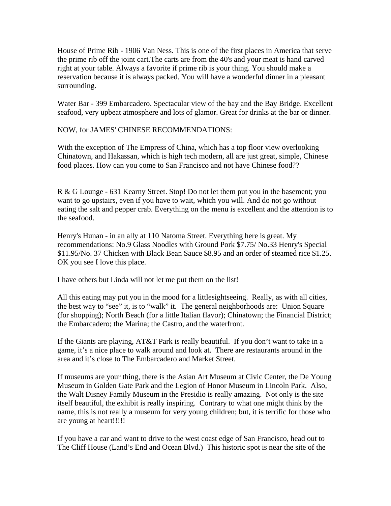House of Prime Rib - 1906 Van Ness. This is one of the first places in America that serve the prime rib off the joint cart.The carts are from the 40's and your meat is hand carved right at your table. Always a favorite if prime rib is your thing. You should make a reservation because it is always packed. You will have a wonderful dinner in a pleasant surrounding.

Water Bar - 399 Embarcadero. Spectacular view of the bay and the Bay Bridge. Excellent seafood, very upbeat atmosphere and lots of glamor. Great for drinks at the bar or dinner.

# NOW, for JAMES' CHINESE RECOMMENDATIONS:

With the exception of The Empress of China, which has a top floor view overlooking Chinatown, and Hakassan, which is high tech modern, all are just great, simple, Chinese food places. How can you come to San Francisco and not have Chinese food??

R & G Lounge - 631 Kearny Street. Stop! Do not let them put you in the basement; you want to go upstairs, even if you have to wait, which you will. And do not go without eating the salt and pepper crab. Everything on the menu is excellent and the attention is to the seafood.

Henry's Hunan - in an ally at 110 Natoma Street. Everything here is great. My recommendations: No.9 Glass Noodles with Ground Pork \$7.75/ No.33 Henry's Special \$11.95/No. 37 Chicken with Black Bean Sauce \$8.95 and an order of steamed rice \$1.25. OK you see I love this place.

I have others but Linda will not let me put them on the list!

All this eating may put you in the mood for a littlesightseeing. Really, as with all cities, the best way to "see" it, is to "walk" it. The general neighborhoods are: Union Square (for shopping); North Beach (for a little Italian flavor); Chinatown; the Financial District; the Embarcadero; the Marina; the Castro, and the waterfront.

If the Giants are playing, AT&T Park is really beautiful. If you don't want to take in a game, it's a nice place to walk around and look at. There are restaurants around in the area and it's close to The Embarcadero and Market Street.

If museums are your thing, there is the Asian Art Museum at Civic Center, the De Young Museum in Golden Gate Park and the Legion of Honor Museum in Lincoln Park. Also, the Walt Disney Family Museum in the Presidio is really amazing. Not only is the site itself beautiful, the exhibit is really inspiring. Contrary to what one might think by the name, this is not really a museum for very young children; but, it is terrific for those who are young at heart!!!!!

If you have a car and want to drive to the west coast edge of San Francisco, head out to The Cliff House (Land's End and Ocean Blvd.) This historic spot is near the site of the